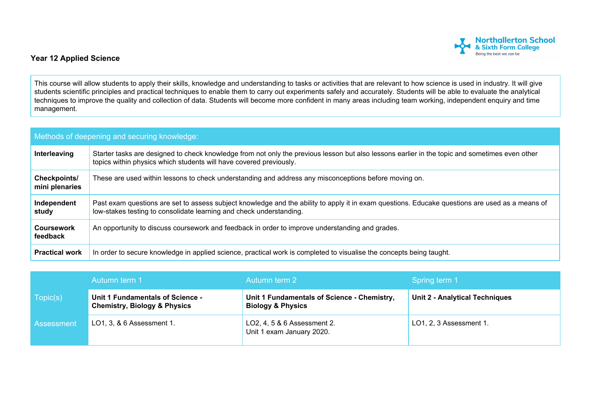

## **Year 12 Applied Science**

This course will allow students to apply their skills, knowledge and understanding to tasks or activities that are relevant to how science is used in industry. It will give students scientific principles and practical techniques to enable them to carry out experiments safely and accurately. Students will be able to evaluate the analytical techniques to improve the quality and collection of data. Students will become more confident in many areas including team working, independent enquiry and time management.

| Methods of deepening and securing knowledge: |                                                                                                                                                                                                                        |  |  |  |
|----------------------------------------------|------------------------------------------------------------------------------------------------------------------------------------------------------------------------------------------------------------------------|--|--|--|
| Interleaving                                 | Starter tasks are designed to check knowledge from not only the previous lesson but also lessons earlier in the topic and sometimes even other<br>topics within physics which students will have covered previously.   |  |  |  |
| Checkpoints/<br>mini plenaries               | These are used within lessons to check understanding and address any misconceptions before moving on.                                                                                                                  |  |  |  |
| Independent<br>study                         | Past exam questions are set to assess subject knowledge and the ability to apply it in exam questions. Educake questions are used as a means of<br>low-stakes testing to consolidate learning and check understanding. |  |  |  |
| <b>Coursework</b><br>feedback                | An opportunity to discuss coursework and feedback in order to improve understanding and grades.                                                                                                                        |  |  |  |
| <b>Practical work</b>                        | In order to secure knowledge in applied science, practical work is completed to visualise the concepts being taught.                                                                                                   |  |  |  |

|                   | Autumn term 1                                                               | Autumn term 2                                                               | Spring term 1                         |
|-------------------|-----------------------------------------------------------------------------|-----------------------------------------------------------------------------|---------------------------------------|
| Topic(s)          | Unit 1 Fundamentals of Science -<br><b>Chemistry, Biology &amp; Physics</b> | Unit 1 Fundamentals of Science - Chemistry,<br><b>Biology &amp; Physics</b> | <b>Unit 2 - Analytical Techniques</b> |
| <b>Assessment</b> | LO1, 3, & 6 Assessment 1.                                                   | LO2, 4, 5 & 6 Assessment 2.<br>Unit 1 exam January 2020.                    | LO1, 2, 3 Assessment 1.               |